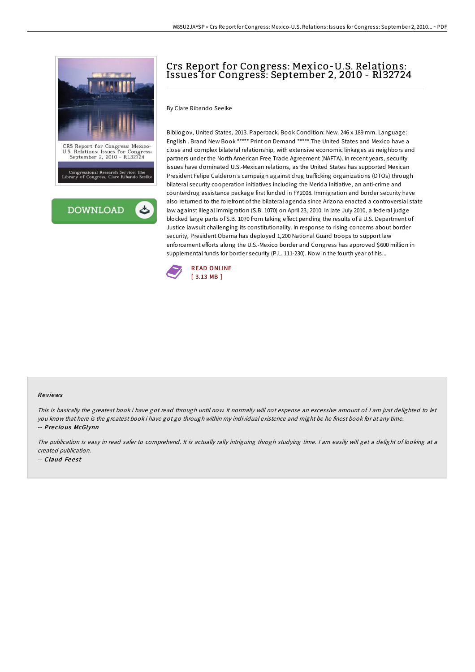

# Crs Report for Congress: Mexico-U.S. Relations: Issues for Congress: September 2, 2010 - Rl32724

By Clare Ribando Seelke

Bibliogov, United States, 2013. Paperback. Book Condition: New. 246 x 189 mm. Language: English . Brand New Book \*\*\*\*\* Print on Demand \*\*\*\*\*.The United States and Mexico have a close and complex bilateral relationship, with extensive economic linkages as neighbors and partners under the North American Free Trade Agreement (NAFTA). In recent years, security issues have dominated U.S.-Mexican relations, as the United States has supported Mexican President Felipe Calderon s campaign against drug trafficking organizations (DTOs) through bilateral security cooperation initiatives including the Merida Initiative, an anti-crime and counterdrug assistance package first funded in FY2008. Immigration and border security have also returned to the forefront of the bilateral agenda since Arizona enacted a controversial state law against illegal immigration (S.B. 1070) on April 23, 2010. In late July 2010, a federal judge blocked large parts of S.B. 1070 from taking effect pending the results of a U.S. Department of Justice lawsuit challenging its constitutionality. In response to rising concerns about border security, President Obama has deployed 1,200 National Guard troops to support law enforcement efforts along the U.S.-Mexico border and Congress has approved \$600 million in supplemental funds for border security (P.L. 111-230). Now in the fourth year of his...



#### Re views

This is basically the greatest book i have got read through until now. It normally will not expense an excessive amount of I am just delighted to let you know that here is the greatest book i have got go through within my individual existence and might be he finest book for at any time. -- Pre cio us McGlynn

The publication is easy in read safer to comprehend. It is actually rally intriguing throgh studying time. <sup>I</sup> am easily will get <sup>a</sup> delight of looking at <sup>a</sup> created publication.

-- Claud Feest